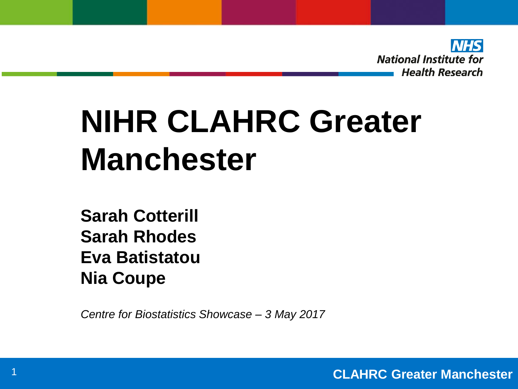

# **NIHR CLAHRC Greater Manchester**

**Sarah Cotterill Sarah Rhodes Eva Batistatou Nia Coupe**

*Centre for Biostatistics Showcase – 3 May 2017*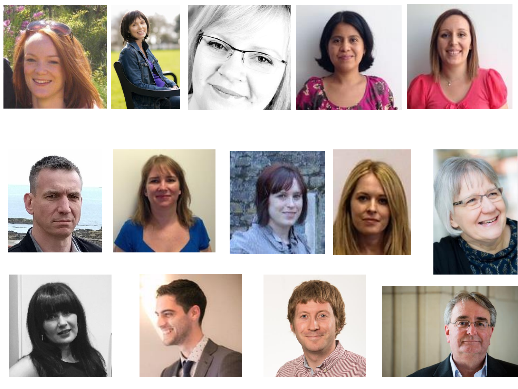









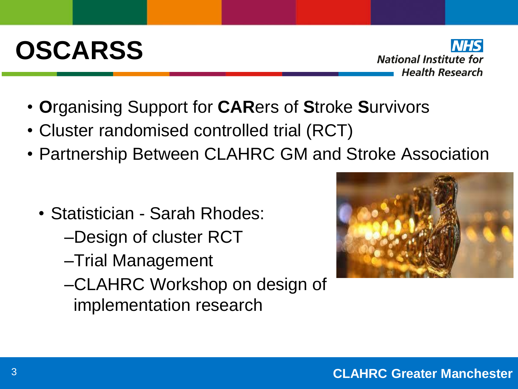### **OSCARSS**

**National Institute for Health Research** 

- **O**rganising Support for **CAR**ers of **S**troke **S**urvivors
- Cluster randomised controlled trial (RCT)
- Partnership Between CLAHRC GM and Stroke Association
	- Statistician Sarah Rhodes:
		- –Design of cluster RCT
		- –Trial Management
		- –CLAHRC Workshop on design of implementation research

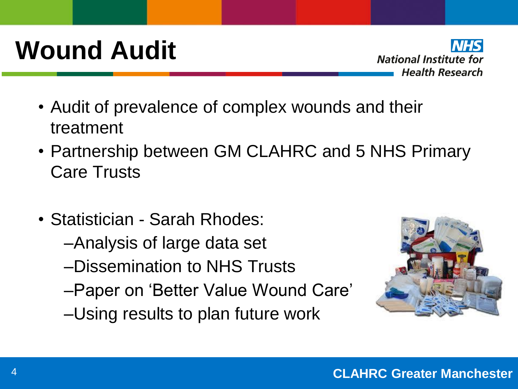# **Wound Audit**



- Audit of prevalence of complex wounds and their treatment
- Partnership between GM CLAHRC and 5 NHS Primary Care Trusts
- Statistician Sarah Rhodes:
	- –Analysis of large data set
	- –Dissemination to NHS Trusts
	- –Paper on 'Better Value Wound Care'
	- –Using results to plan future work

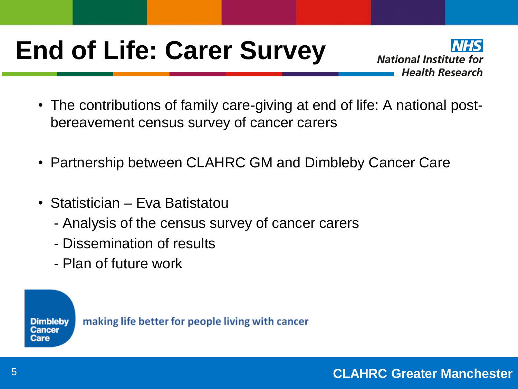# **End of Life: Carer Survey**



- The contributions of family care-giving at end of life: A national postbereavement census survey of cancer carers
- Partnership between CLAHRC GM and Dimbleby Cancer Care
- Statistician Eva Batistatou
	- Analysis of the census survey of cancer carers
	- Dissemination of results
	- Plan of future work

making life better for people living with cancer **Dimbleby** 

Cancer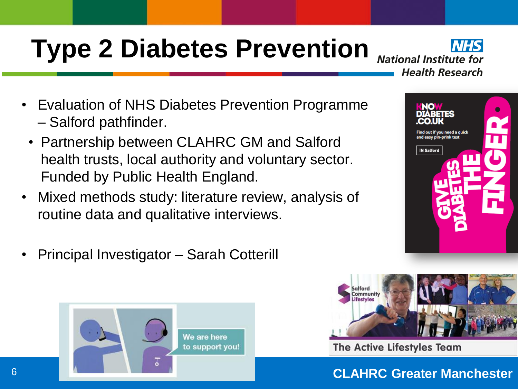# **Type 2 Diabetes Prevention**

- **National Institute for Health Research**
- Evaluation of NHS Diabetes Prevention Programme – Salford pathfinder.
- Partnership between CLAHRC GM and Salford health trusts, local authority and voluntary sector. Funded by Public Health England.
- Mixed methods study: literature review, analysis of routine data and qualitative interviews.



• Principal Investigator – Sarah Cotterill





**The Active Lifestyles Team**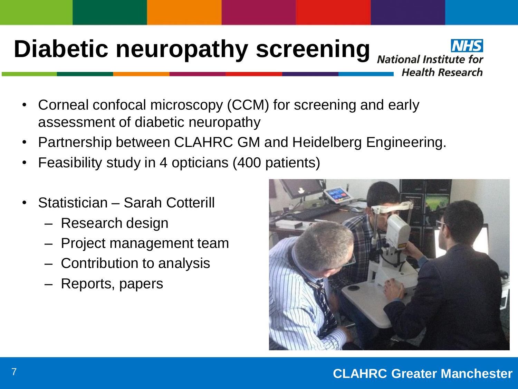### **Diabetic neuropathy screening**



- Corneal confocal microscopy (CCM) for screening and early assessment of diabetic neuropathy
- Partnership between CLAHRC GM and Heidelberg Engineering.
- Feasibility study in 4 opticians (400 patients)
- Statistician Sarah Cotterill
	- Research design
	- Project management team
	- Contribution to analysis
	- Reports, papers

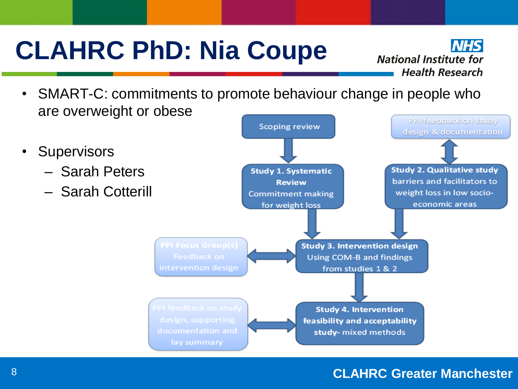# **CLAHRC PhD: Nia Coupe**



• SMART-C: commitments to promote behaviour change in people who are overweight or obese

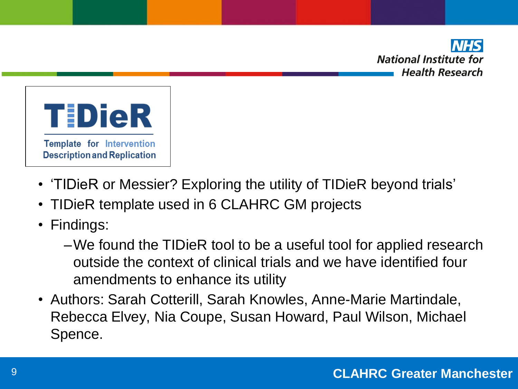



- 'TIDieR or Messier? Exploring the utility of TIDieR beyond trials'
- TIDieR template used in 6 CLAHRC GM projects
- Findings:
	- –We found the TIDieR tool to be a useful tool for applied research outside the context of clinical trials and we have identified four amendments to enhance its utility
- Authors: Sarah Cotterill, Sarah Knowles, Anne-Marie Martindale, Rebecca Elvey, Nia Coupe, Susan Howard, Paul Wilson, Michael Spence.